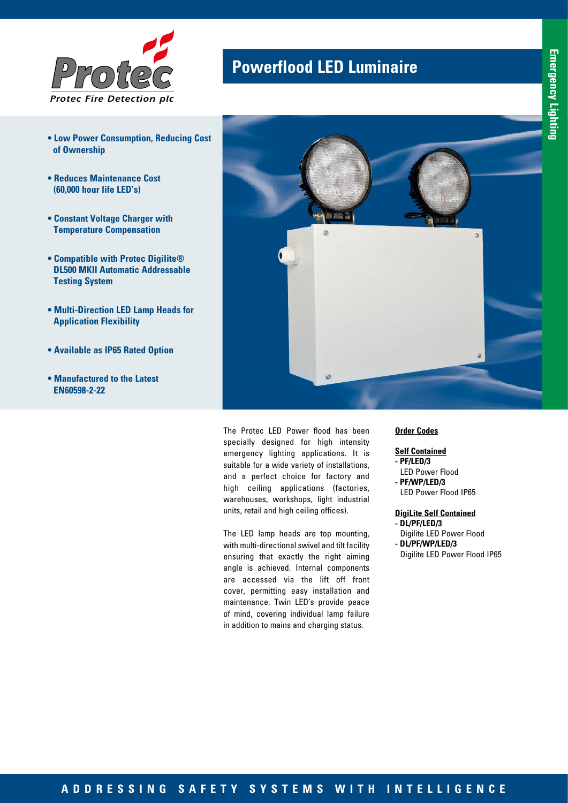

- **Low Power Consumption, Reducing Cost of Ownership**
- **Reduces Maintenance Cost (60,000 hour life LED's)**
- **Constant Voltage Charger with Temperature Compensation**
- **Compatible with Protec Digilite® DL500 MKII Automatic Addressable Testing System**
- **Multi-Direction LED Lamp Heads for Application Flexibility**
- **Available as IP65 Rated Option**
- **Manufactured to the Latest EN60598-2-22**

## **Powerflood LED Luminaire**



The Protec LED Power flood has been specially designed for high intensity emergency lighting applications. It is suitable for a wide variety of installations, and a perfect choice for factory and high ceiling applications (factories, warehouses, workshops, light industrial units, retail and high ceiling offices).

The LED lamp heads are top mounting, with multi-directional swivel and tilt facility ensuring that exactly the right aiming angle is achieved. Internal components are accessed via the lift off front cover, permitting easy installation and maintenance. Twin LED's provide peace of mind, covering individual lamp failure in addition to mains and charging status.

#### **Order Codes**

### **Self Contained**

- **PF/LED/3**
- LED Power Flood **- PF/WP/LED/3**
- LED Power Flood IP65

### **DigiLite Self Contained**

- **DL/PF/LED/3** Digilite LED Power Flood **- DL/PF/WP/LED/3**
- Digilite LED Power Flood IP65